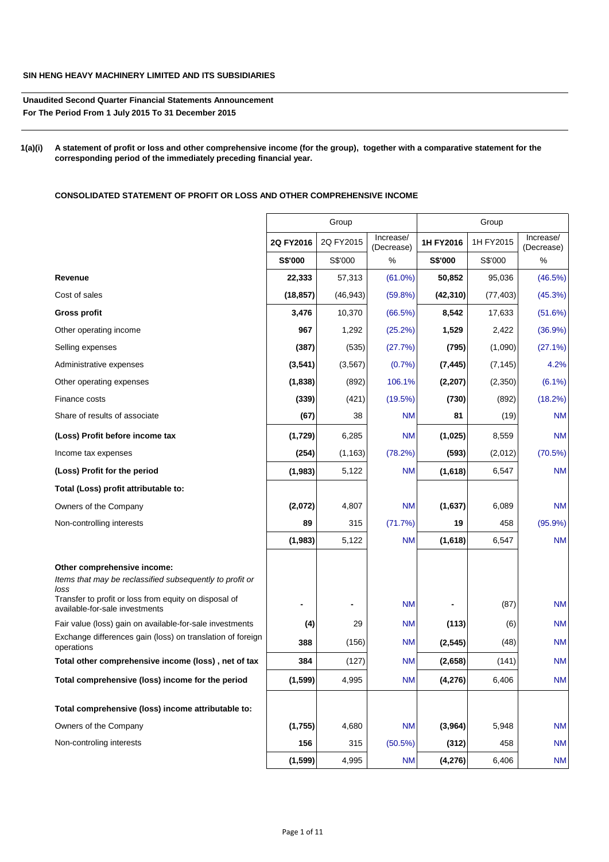# **SIN HENG HEAVY MACHINERY LIMITED AND ITS SUBSIDIARIES**

**Unaudited Second Quarter Financial Statements Announcement For The Period From 1 July 2015 To 31 December 2015**

**1(a)(i) A statement of profit or loss and other comprehensive income (for the group), together with a comparative statement for the corresponding period of the immediately preceding financial year.**

**CONSOLIDATED STATEMENT OF PROFIT OR LOSS AND OTHER COMPREHENSIVE INCOME**

|                                                                                                                                                          |           | Group     |                         |           | Group     |                         |  |
|----------------------------------------------------------------------------------------------------------------------------------------------------------|-----------|-----------|-------------------------|-----------|-----------|-------------------------|--|
|                                                                                                                                                          | 2Q FY2016 | 2Q FY2015 | Increase/<br>(Decrease) | 1H FY2016 | 1H FY2015 | Increase/<br>(Decrease) |  |
|                                                                                                                                                          | S\$'000   | S\$'000   | $\%$                    | S\$'000   | S\$'000   | $\%$                    |  |
| Revenue                                                                                                                                                  | 22,333    | 57,313    | $(61.0\%)$              | 50,852    | 95,036    | (46.5%)                 |  |
| Cost of sales                                                                                                                                            | (18, 857) | (46, 943) | $(59.8\%)$              | (42, 310) | (77, 403) | (45.3%)                 |  |
| <b>Gross profit</b>                                                                                                                                      | 3,476     | 10,370    | (66.5%)                 | 8,542     | 17,633    | (51.6%)                 |  |
| Other operating income                                                                                                                                   | 967       | 1,292     | (25.2%)                 | 1,529     | 2,422     | $(36.9\%)$              |  |
| Selling expenses                                                                                                                                         | (387)     | (535)     | (27.7%)                 | (795)     | (1,090)   | (27.1%)                 |  |
| Administrative expenses                                                                                                                                  | (3, 541)  | (3, 567)  | (0.7%                   | (7, 445)  | (7, 145)  | 4.2%                    |  |
| Other operating expenses                                                                                                                                 | (1,838)   | (892)     | 106.1%                  | (2, 207)  | (2, 350)  | $(6.1\%)$               |  |
| Finance costs                                                                                                                                            | (339)     | (421)     | (19.5%)                 | (730)     | (892)     | (18.2%)                 |  |
| Share of results of associate                                                                                                                            | (67)      | 38        | <b>NM</b>               | 81        | (19)      | <b>NM</b>               |  |
| (Loss) Profit before income tax                                                                                                                          | (1,729)   | 6,285     | <b>NM</b>               | (1,025)   | 8,559     | <b>NM</b>               |  |
| Income tax expenses                                                                                                                                      | (254)     | (1, 163)  | (78.2%)                 | (593)     | (2,012)   | (70.5%)                 |  |
| (Loss) Profit for the period                                                                                                                             | (1,983)   | 5,122     | <b>NM</b>               | (1,618)   | 6,547     | <b>NM</b>               |  |
| Total (Loss) profit attributable to:                                                                                                                     |           |           |                         |           |           |                         |  |
| Owners of the Company                                                                                                                                    | (2,072)   | 4,807     | <b>NM</b>               | (1,637)   | 6,089     | <b>NM</b>               |  |
| Non-controlling interests                                                                                                                                | 89        | 315       | (71.7%)                 | 19        | 458       | $(95.9\%)$              |  |
|                                                                                                                                                          | (1,983)   | 5,122     | <b>NM</b>               | (1,618)   | 6,547     | <b>NM</b>               |  |
| Other comprehensive income:<br>Items that may be reclassified subsequently to profit or<br>loss<br>Transfer to profit or loss from equity on disposal of |           |           | <b>NM</b>               |           | (87)      | <b>NM</b>               |  |
| available-for-sale investments                                                                                                                           |           |           |                         |           |           |                         |  |
| Fair value (loss) gain on available-for-sale investments<br>Exchange differences gain (loss) on translation of foreign                                   | (4)       | 29        | <b>NM</b>               | (113)     | (6)       | <b>NM</b>               |  |
| operations                                                                                                                                               | 388       | (156)     | <b>NM</b>               | (2, 545)  | (48)      | <b>NM</b>               |  |
| Total other comprehensive income (loss), net of tax                                                                                                      | 384       | (127)     | <b>NM</b>               | (2,658)   | (141)     | <b>NM</b>               |  |
| Total comprehensive (loss) income for the period                                                                                                         | (1, 599)  | 4,995     | <b>NM</b>               | (4, 276)  | 6,406     | <b>NM</b>               |  |
| Total comprehensive (loss) income attributable to:                                                                                                       |           |           |                         |           |           |                         |  |
| Owners of the Company                                                                                                                                    | (1,755)   | 4,680     | <b>NM</b>               | (3,964)   | 5,948     | <b>NM</b>               |  |
| Non-controling interests                                                                                                                                 | 156       | 315       | (50.5%)                 | (312)     | 458       | <b>NM</b>               |  |
|                                                                                                                                                          | (1, 599)  | 4,995     | <b>NM</b>               | (4, 276)  | 6,406     | <b>NM</b>               |  |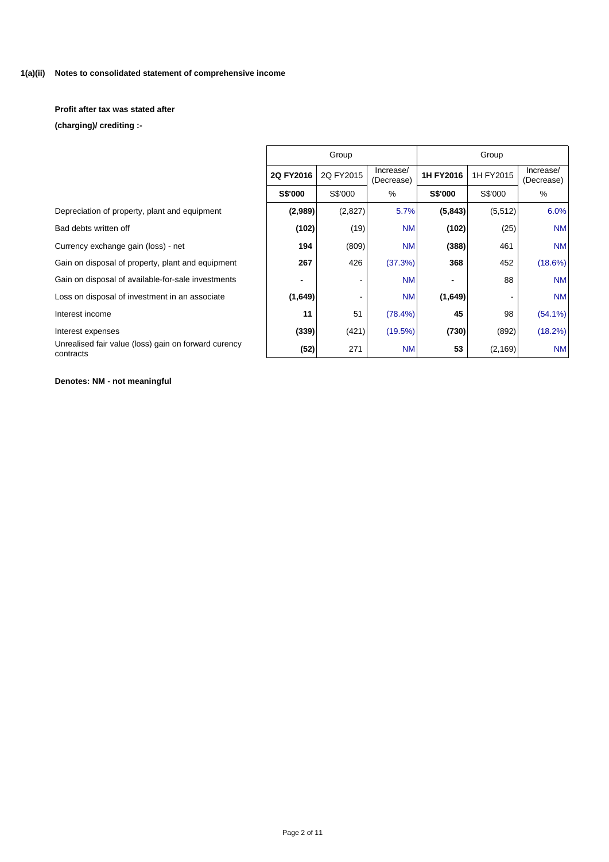#### **Notes to consolidated statement of comprehensive income 1(a)(ii)**

**Profit after tax was stated after**

**(charging)/ crediting :-**

|                                                                   | Group     |           |                         |           |           |                         |
|-------------------------------------------------------------------|-----------|-----------|-------------------------|-----------|-----------|-------------------------|
|                                                                   | 2Q FY2016 | 2Q FY2015 | Increase/<br>(Decrease) | 1H FY2016 | 1H FY2015 | Increase/<br>(Decrease) |
|                                                                   | S\$'000   | S\$'000   | %                       | S\$'000   | S\$'000   | %                       |
| Depreciation of property, plant and equipment                     | (2,989)   | (2,827)   | 5.7%                    | (5, 843)  | (5, 512)  | 6.0%                    |
| Bad debts written off                                             | (102)     | (19)      | <b>NM</b>               | (102)     | (25)      | <b>NM</b>               |
| Currency exchange gain (loss) - net                               | 194       | (809)     | <b>NM</b>               | (388)     | 461       | <b>NM</b>               |
| Gain on disposal of property, plant and equipment                 | 267       | 426       | (37.3%)                 | 368       | 452       | $(18.6\%)$              |
| Gain on disposal of available-for-sale investments                |           |           | <b>NM</b>               |           | 88        | <b>NM</b>               |
| Loss on disposal of investment in an associate                    | (1,649)   |           | <b>NM</b>               | (1,649)   |           | <b>NM</b>               |
| Interest income                                                   | 11        | 51        | $(78.4\%)$              | 45        | 98        | $(54.1\%)$              |
| Interest expenses                                                 | (339)     | (421)     | (19.5%)                 | (730)     | (892)     | $(18.2\%)$              |
| Unrealised fair value (loss) gain on forward curency<br>contracts | (52)      | 271       | <b>NM</b>               | 53        | (2, 169)  | <b>NM</b>               |

# **Denotes: NM - not meaningful**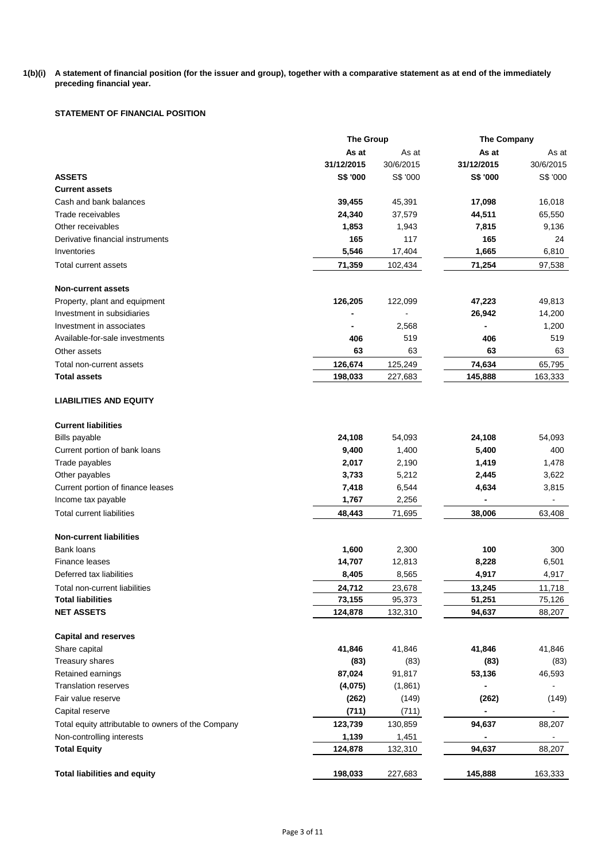#### **1(b)(i) A statement of financial position (for the issuer and group), together with a comparative statement as at end of the immediately preceding financial year.**

# **STATEMENT OF FINANCIAL POSITION**

|                                                    |            | <b>The Group</b> |            | <b>The Company</b> |
|----------------------------------------------------|------------|------------------|------------|--------------------|
|                                                    | As at      | As at            | As at      | As at              |
|                                                    | 31/12/2015 | 30/6/2015        | 31/12/2015 | 30/6/2015          |
| <b>ASSETS</b>                                      | S\$ '000   | S\$ '000         | S\$ '000   | S\$ '000           |
| <b>Current assets</b>                              |            |                  |            |                    |
| Cash and bank balances                             | 39,455     | 45,391           | 17,098     | 16,018             |
| Trade receivables                                  | 24,340     | 37,579           | 44,511     | 65,550             |
| Other receivables                                  | 1,853      | 1,943            | 7,815      | 9,136              |
| Derivative financial instruments                   | 165        | 117              | 165        | 24                 |
| Inventories                                        | 5,546      | 17,404           | 1,665      | 6,810              |
| Total current assets                               | 71,359     | 102,434          | 71,254     | 97,538             |
| <b>Non-current assets</b>                          |            |                  |            |                    |
| Property, plant and equipment                      | 126,205    | 122,099          | 47,223     | 49,813             |
| Investment in subsidiaries                         |            |                  | 26,942     | 14,200             |
| Investment in associates                           |            | 2,568            |            | 1,200              |
| Available-for-sale investments                     | 406        | 519              | 406        | 519                |
| Other assets                                       | 63         | 63               | 63         | 63                 |
| Total non-current assets                           | 126,674    | 125,249          | 74,634     | 65,795             |
| <b>Total assets</b>                                | 198,033    | 227,683          | 145,888    | 163,333            |
| <b>LIABILITIES AND EQUITY</b>                      |            |                  |            |                    |
| <b>Current liabilities</b>                         |            |                  |            |                    |
| <b>Bills payable</b>                               | 24,108     | 54,093           | 24,108     | 54,093             |
| Current portion of bank loans                      | 9,400      | 1,400            | 5,400      | 400                |
| Trade payables                                     | 2,017      | 2,190            | 1,419      | 1,478              |
| Other payables                                     | 3,733      | 5,212            | 2,445      | 3,622              |
| Current portion of finance leases                  | 7,418      | 6,544            | 4,634      | 3,815              |
| Income tax payable                                 | 1,767      | 2,256            | ٠          |                    |
| <b>Total current liabilities</b>                   | 48,443     | 71,695           | 38,006     | 63,408             |
| <b>Non-current liabilities</b>                     |            |                  |            |                    |
| <b>Bank loans</b>                                  | 1,600      | 2,300            | 100        | 300                |
| <b>Finance leases</b>                              | 14,707     | 12,813           | 8,228      | 6,501              |
| Deferred tax liabilities                           | 8,405      | 8,565            | 4,917      | 4,917              |
| Total non-current liabilities                      | 24,712     | 23,678           | 13,245     | 11,718             |
| <b>Total liabilities</b>                           | 73,155     | 95,373           | 51,251     | 75,126             |
| <b>NET ASSETS</b>                                  | 124,878    | 132,310          | 94,637     | 88,207             |
| <b>Capital and reserves</b>                        |            |                  |            |                    |
| Share capital                                      | 41,846     | 41,846           | 41,846     | 41,846             |
| Treasury shares                                    | (83)       | (83)             | (83)       | (83)               |
| Retained earnings                                  | 87,024     | 91,817           | 53,136     | 46,593             |
| <b>Translation reserves</b>                        | (4,075)    | (1,861)          |            |                    |
| Fair value reserve                                 | (262)      | (149)            | (262)      | (149)              |
| Capital reserve                                    | (711)      | (711)            |            | $\blacksquare$     |
| Total equity attributable to owners of the Company | 123,739    | 130,859          | 94,637     | 88,207             |
| Non-controlling interests                          | 1,139      | 1,451            |            |                    |
| <b>Total Equity</b>                                | 124,878    | 132,310          | 94,637     | 88,207             |
|                                                    |            |                  |            |                    |
| <b>Total liabilities and equity</b>                | 198,033    | 227,683          | 145,888    | 163,333            |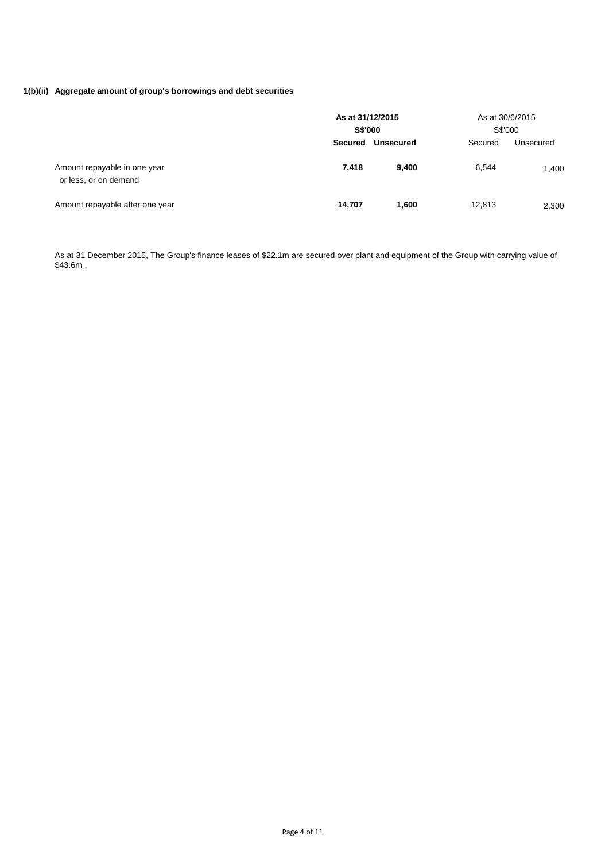# **1(b)(ii) Aggregate amount of group's borrowings and debt securities**

|                                                       | As at 31/12/2015<br><b>S\$'000</b> |                  | S\$'000 | As at 30/6/2015 |  |
|-------------------------------------------------------|------------------------------------|------------------|---------|-----------------|--|
|                                                       | <b>Secured</b>                     | <b>Unsecured</b> | Secured | Unsecured       |  |
| Amount repayable in one year<br>or less, or on demand | 7.418                              | 9.400            | 6.544   | 1,400           |  |
| Amount repayable after one year                       | 14,707                             | 1.600            | 12,813  | 2,300           |  |

As at 31 December 2015, The Group's finance leases of \$22.1m are secured over plant and equipment of the Group with carrying value of \$43.6m .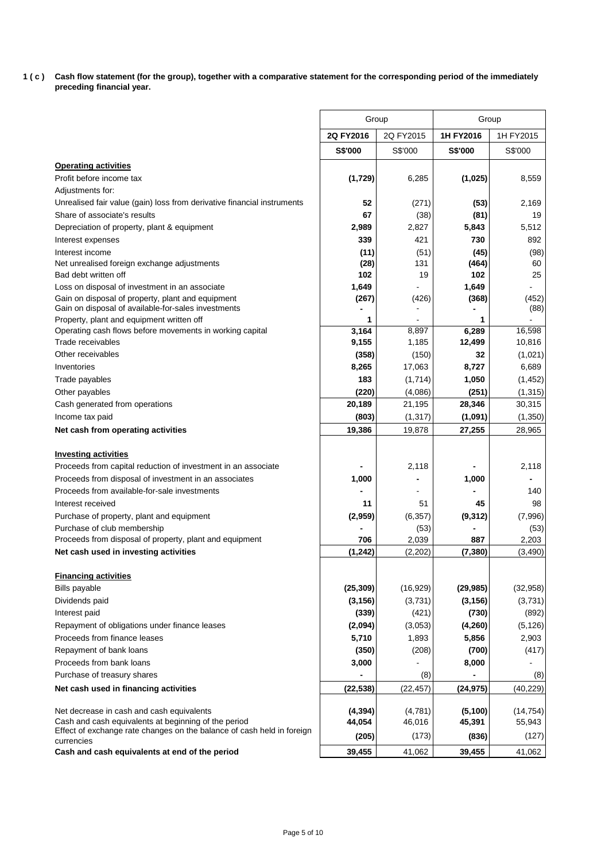**1 ( c ) Cash flow statement (for the group), together with a comparative statement for the corresponding period of the immediately preceding financial year.**

|                                                                                                          | Group          |           | Group          |               |  |
|----------------------------------------------------------------------------------------------------------|----------------|-----------|----------------|---------------|--|
|                                                                                                          | 2Q FY2016      | 2Q FY2015 | 1H FY2016      | 1H FY2015     |  |
|                                                                                                          | <b>S\$'000</b> | S\$'000   | <b>S\$'000</b> | S\$'000       |  |
| <b>Operating activities</b>                                                                              |                |           |                |               |  |
| Profit before income tax                                                                                 | (1,729)        | 6,285     | (1,025)        | 8,559         |  |
| Adjustments for:                                                                                         |                |           |                |               |  |
| Unrealised fair value (gain) loss from derivative financial instruments                                  | 52             | (271)     | (53)           | 2,169         |  |
| Share of associate's results                                                                             | 67             | (38)      | (81)           | 19            |  |
| Depreciation of property, plant & equipment                                                              | 2,989          | 2,827     | 5,843          | 5,512         |  |
| Interest expenses                                                                                        | 339            | 421       | 730            | 892           |  |
| Interest income                                                                                          | (11)           | (51)      | (45)           | (98)          |  |
| Net unrealised foreign exchange adjustments                                                              | (28)           | 131       | (464)          | 60            |  |
| Bad debt written off                                                                                     | 102            | 19        | 102            | 25            |  |
| Loss on disposal of investment in an associate                                                           | 1,649          |           | 1,649          |               |  |
| Gain on disposal of property, plant and equipment<br>Gain on disposal of available-for-sales investments | (267)          | (426)     | (368)          | (452)<br>(88) |  |
| Property, plant and equipment written off                                                                | 1              |           | 1              |               |  |
| Operating cash flows before movements in working capital                                                 | 3,164          | 8.897     | 6,289          | 16,598        |  |
| Trade receivables                                                                                        | 9,155          | 1,185     | 12,499         | 10,816        |  |
| Other receivables                                                                                        | (358)          | (150)     | 32             | (1,021)       |  |
| Inventories                                                                                              | 8,265          | 17,063    | 8,727          | 6,689         |  |
| Trade payables                                                                                           | 183            | (1,714)   | 1,050          | (1, 452)      |  |
| Other payables                                                                                           | (220)          | (4,086)   | (251)          | (1, 315)      |  |
| Cash generated from operations                                                                           | 20,189         | 21,195    | 28,346         | 30,315        |  |
| Income tax paid                                                                                          | (803)          | (1, 317)  | (1,091)        | (1, 350)      |  |
| Net cash from operating activities                                                                       | 19,386         | 19,878    | 27,255         | 28,965        |  |
| <b>Investing activities</b>                                                                              |                |           |                |               |  |
| Proceeds from capital reduction of investment in an associate                                            |                | 2,118     |                | 2,118         |  |
| Proceeds from disposal of investment in an associates                                                    | 1,000          |           | 1,000          |               |  |
| Proceeds from available-for-sale investments                                                             |                |           |                | 140           |  |
| Interest received                                                                                        | 11             | 51        | 45             | 98            |  |
| Purchase of property, plant and equipment                                                                | (2,959)        | (6, 357)  | (9, 312)       | (7,996)       |  |
| Purchase of club membership                                                                              |                | (53)      |                | (53)          |  |
| Proceeds from disposal of property, plant and equipment                                                  | 706            | 2,039     | 887            | 2,203         |  |
| Net cash used in investing activities                                                                    | (1, 242)       | (2,202)   | (7, 380)       | (3, 490)      |  |
| <b>Financing activities</b>                                                                              |                |           |                |               |  |
| <b>Bills payable</b>                                                                                     | (25, 309)      | (16, 929) | (29, 985)      | (32, 958)     |  |
| Dividends paid                                                                                           | (3, 156)       | (3,731)   | (3, 156)       | (3,731)       |  |
| Interest paid                                                                                            | (339)          | (421)     | (730)          | (892)         |  |
| Repayment of obligations under finance leases                                                            | (2,094)        | (3,053)   | (4, 260)       | (5, 126)      |  |
| Proceeds from finance leases                                                                             | 5,710          | 1,893     | 5,856          | 2,903         |  |
| Repayment of bank loans                                                                                  | (350)          | (208)     | (700)          | (417)         |  |
| Proceeds from bank loans                                                                                 | 3,000          |           | 8,000          |               |  |
| Purchase of treasury shares                                                                              |                | (8)       |                | (8)           |  |
| Net cash used in financing activities                                                                    | (22, 538)      | (22, 457) | (24, 975)      | (40, 229)     |  |
| Net decrease in cash and cash equivalents                                                                | (4, 394)       | (4,781)   | (5, 100)       | (14, 754)     |  |
| Cash and cash equivalents at beginning of the period                                                     | 44,054         | 46,016    | 45,391         | 55,943        |  |
| Effect of exchange rate changes on the balance of cash held in foreign                                   | (205)          | (173)     | (836)          | (127)         |  |
| currencies                                                                                               |                |           |                |               |  |
| Cash and cash equivalents at end of the period                                                           | 39,455         | 41,062    | 39,455         | 41,062        |  |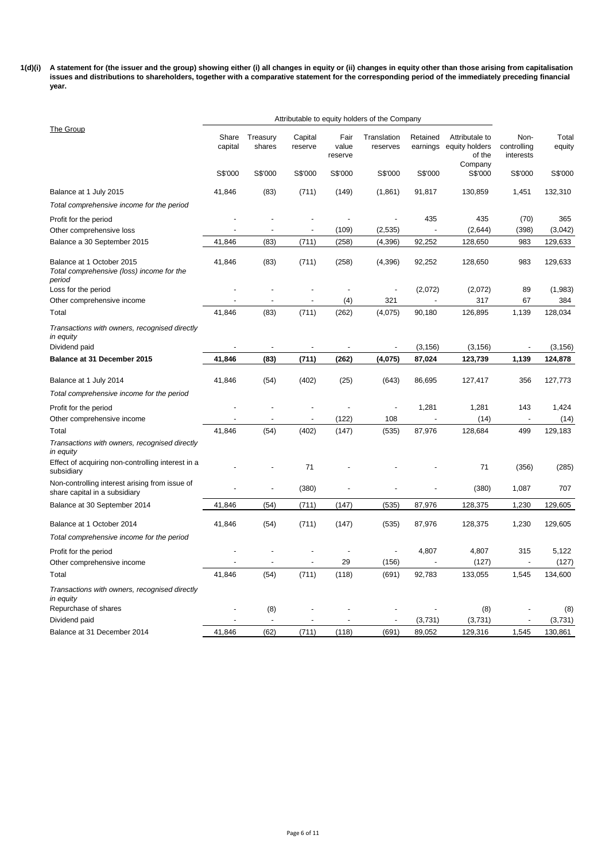**1(d)(i) A statement for (the issuer and the group) showing either (i) all changes in equity or (ii) changes in equity other than those arising from capitalisation issues and distributions to shareholders, together with a comparative statement for the corresponding period of the immediately preceding financial year.**

|                                                                                                                 | Attributable to equity holders of the Company |                          |                    |                          |                          |                      |                                                       |                                  |                 |
|-----------------------------------------------------------------------------------------------------------------|-----------------------------------------------|--------------------------|--------------------|--------------------------|--------------------------|----------------------|-------------------------------------------------------|----------------------------------|-----------------|
| The Group                                                                                                       | Share<br>capital                              | Treasury<br>shares       | Capital<br>reserve | Fair<br>value<br>reserve | Translation<br>reserves  | Retained<br>earnings | Attributale to<br>equity holders<br>of the<br>Company | Non-<br>controlling<br>interests | Total<br>equity |
|                                                                                                                 | S\$'000                                       | S\$'000                  | S\$'000            | S\$'000                  | S\$'000                  | S\$'000              | S\$'000                                               | S\$'000                          | S\$'000         |
| Balance at 1 July 2015                                                                                          | 41,846                                        | (83)                     | (711)              | (149)                    | (1,861)                  | 91,817               | 130,859                                               | 1,451                            | 132,310         |
| Total comprehensive income for the period                                                                       |                                               |                          |                    |                          |                          |                      |                                                       |                                  |                 |
| Profit for the period                                                                                           |                                               |                          |                    |                          |                          | 435                  | 435                                                   | (70)                             | 365             |
| Other comprehensive loss                                                                                        |                                               |                          |                    | (109)                    | (2, 535)                 |                      | (2,644)                                               | (398)                            | (3,042)         |
| Balance a 30 September 2015                                                                                     | 41,846                                        | (83)                     | (711)              | (258)                    | (4, 396)                 | 92,252               | 128,650                                               | 983                              | 129,633         |
| Balance at 1 October 2015<br>Total comprehensive (loss) income for the<br>period                                | 41,846                                        | (83)                     | (711)              | (258)                    | (4, 396)                 | 92,252               | 128,650                                               | 983                              | 129,633         |
| Loss for the period                                                                                             |                                               |                          |                    |                          |                          | (2,072)              | (2,072)                                               | 89                               | (1,983)         |
| Other comprehensive income                                                                                      |                                               |                          |                    | (4)                      | 321                      |                      | 317                                                   | 67                               | 384             |
| Total                                                                                                           | 41,846                                        | (83)                     | (711)              | (262)                    | (4,075)                  | 90,180               | 126,895                                               | 1,139                            | 128,034         |
| Transactions with owners, recognised directly<br>in equity<br>Dividend paid                                     |                                               |                          |                    | $\overline{a}$           | $\overline{\phantom{m}}$ | (3, 156)             | (3, 156)                                              | $\overline{a}$                   | (3, 156)        |
| Balance at 31 December 2015                                                                                     | 41,846                                        | (83)                     | (711)              | (262)                    | (4,075)                  | 87,024               | 123,739                                               | 1,139                            | 124,878         |
|                                                                                                                 |                                               |                          |                    |                          |                          |                      |                                                       |                                  |                 |
| Balance at 1 July 2014                                                                                          | 41,846                                        | (54)                     | (402)              | (25)                     | (643)                    | 86,695               | 127,417                                               | 356                              | 127,773         |
| Total comprehensive income for the period                                                                       |                                               |                          |                    |                          |                          |                      |                                                       |                                  |                 |
| Profit for the period                                                                                           |                                               |                          |                    |                          | ٠                        | 1,281                | 1,281                                                 | 143                              | 1,424           |
| Other comprehensive income                                                                                      |                                               | $\overline{\phantom{a}}$ | ÷,                 | (122)                    | 108                      | $\overline{a}$       | (14)                                                  | $\sim$                           | (14)            |
| Total                                                                                                           | 41,846                                        | (54)                     | (402)              | (147)                    | (535)                    | 87,976               | 128,684                                               | 499                              | 129,183         |
| Transactions with owners, recognised directly<br>in equity<br>Effect of acquiring non-controlling interest in a |                                               |                          | 71                 |                          |                          |                      | 71                                                    | (356)                            | (285)           |
| subsidiary                                                                                                      |                                               |                          |                    |                          |                          |                      |                                                       |                                  |                 |
| Non-controlling interest arising from issue of<br>share capital in a subsidiary                                 |                                               |                          | (380)              |                          |                          |                      | (380)                                                 | 1,087                            | 707             |
| Balance at 30 September 2014                                                                                    | 41,846                                        | (54)                     | (711)              | (147)                    | (535)                    | 87,976               | 128,375                                               | 1,230                            | 129,605         |
| Balance at 1 October 2014                                                                                       | 41,846                                        | (54)                     | (711)              | (147)                    | (535)                    | 87,976               | 128,375                                               | 1,230                            | 129,605         |
| Total comprehensive income for the period                                                                       |                                               |                          |                    |                          |                          |                      |                                                       |                                  |                 |
| Profit for the period                                                                                           |                                               |                          |                    |                          | ÷,                       | 4,807                | 4,807                                                 | 315                              | 5,122           |
| Other comprehensive income                                                                                      |                                               |                          |                    | 29                       | (156)                    |                      | (127)                                                 | $\blacksquare$                   | (127)           |
| Total                                                                                                           | 41,846                                        | (54)                     | (711)              | (118)                    | (691)                    | 92,783               | 133,055                                               | 1,545                            | 134,600         |
| Transactions with owners, recognised directly<br>in equity                                                      |                                               |                          |                    |                          |                          |                      |                                                       |                                  |                 |
| Repurchase of shares                                                                                            |                                               | (8)                      |                    |                          |                          |                      | (8)                                                   |                                  | (8)             |
| Dividend paid                                                                                                   |                                               |                          |                    |                          |                          | (3,731)              | (3,731)                                               |                                  | (3,731)         |
| Balance at 31 December 2014                                                                                     | 41,846                                        | (62)                     | (711)              | (118)                    | (691)                    | 89,052               | 129,316                                               | 1,545                            | 130,861         |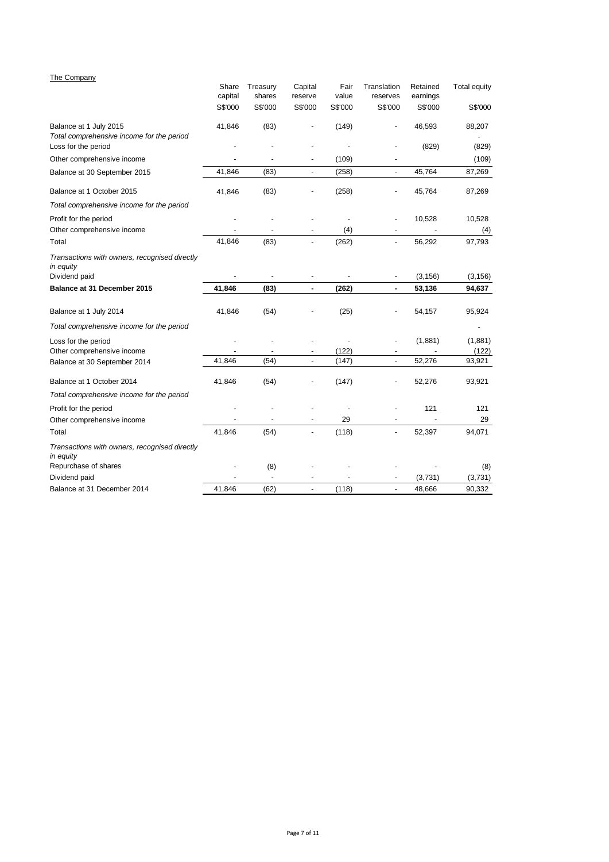# The Company

|                                                                     | Share<br>capital | Treasury<br>shares       | Capital<br>reserve       | Fair<br>value | Translation<br>reserves  | Retained<br>earnings | <b>Total equity</b> |
|---------------------------------------------------------------------|------------------|--------------------------|--------------------------|---------------|--------------------------|----------------------|---------------------|
|                                                                     | S\$'000          | S\$'000                  | S\$'000                  | S\$'000       | S\$'000                  | S\$'000              | S\$'000             |
| Balance at 1 July 2015<br>Total comprehensive income for the period | 41,846           | (83)                     |                          | (149)         |                          | 46,593               | 88,207              |
| Loss for the period                                                 |                  |                          |                          |               |                          | (829)                | (829)               |
| Other comprehensive income                                          |                  |                          | $\blacksquare$           | (109)         |                          |                      | (109)               |
| Balance at 30 September 2015                                        | 41,846           | (83)                     | $\overline{\phantom{a}}$ | (258)         | $\overline{\phantom{a}}$ | 45,764               | 87,269              |
| Balance at 1 October 2015                                           | 41,846           | (83)                     |                          | (258)         |                          | 45,764               | 87,269              |
| Total comprehensive income for the period                           |                  |                          |                          |               |                          |                      |                     |
| Profit for the period                                               |                  |                          |                          |               |                          | 10,528               | 10,528              |
| Other comprehensive income                                          | ÷,               | $\overline{a}$           | ÷,                       | (4)           | $\blacksquare$           |                      | (4)                 |
| Total                                                               | 41,846           | (83)                     | $\blacksquare$           | (262)         | $\blacksquare$           | 56,292               | 97,793              |
| Transactions with owners, recognised directly<br>in equity          |                  |                          |                          |               |                          |                      |                     |
| Dividend paid                                                       |                  |                          |                          |               |                          | (3, 156)             | (3, 156)            |
| Balance at 31 December 2015                                         | 41,846           | (83)                     | $\blacksquare$           | (262)         |                          | 53,136               | 94,637              |
| Balance at 1 July 2014                                              | 41,846           | (54)                     |                          | (25)          |                          | 54,157               | 95,924              |
| Total comprehensive income for the period                           |                  |                          |                          |               |                          |                      |                     |
| Loss for the period<br>Other comprehensive income                   |                  |                          | $\overline{\phantom{a}}$ | (122)         |                          | (1,881)              | (1,881)<br>(122)    |
| Balance at 30 September 2014                                        | 41,846           | (54)                     | $\blacksquare$           | (147)         | $\overline{a}$           | 52,276               | 93,921              |
| Balance at 1 October 2014                                           | 41,846           | (54)                     |                          | (147)         |                          | 52,276               | 93,921              |
| Total comprehensive income for the period                           |                  |                          |                          |               |                          |                      |                     |
| Profit for the period                                               |                  |                          |                          |               |                          | 121                  | 121                 |
| Other comprehensive income                                          |                  |                          |                          | 29            |                          |                      | 29                  |
| Total                                                               | 41,846           | (54)                     |                          | (118)         | ÷                        | 52,397               | 94,071              |
| Transactions with owners, recognised directly<br>in equity          |                  |                          |                          |               |                          |                      |                     |
| Repurchase of shares                                                |                  | (8)                      |                          |               |                          |                      | (8)                 |
| Dividend paid                                                       |                  | $\overline{\phantom{a}}$ |                          |               |                          | (3,731)              | (3,731)             |
| Balance at 31 December 2014                                         | 41.846           | (62)                     |                          | (118)         |                          | 48,666               | 90,332              |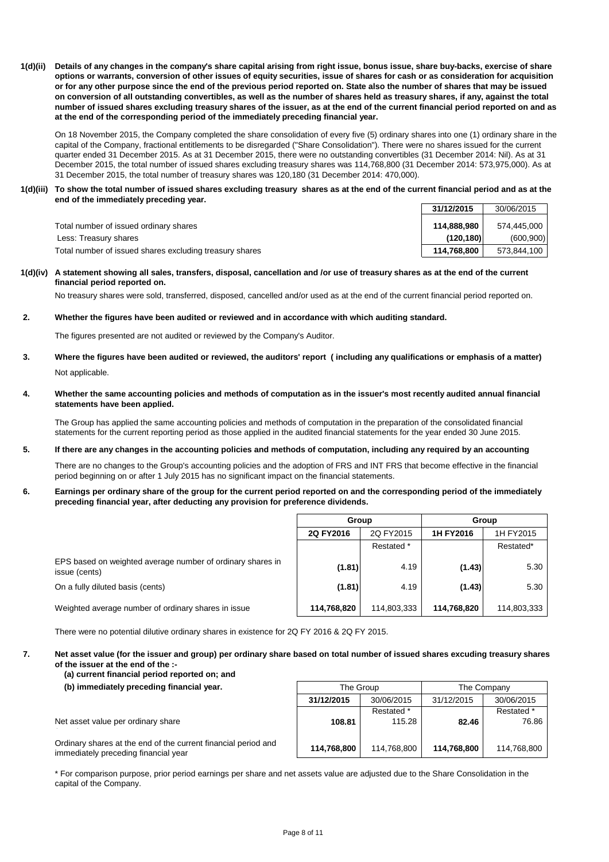**1(d)(ii) Details of any changes in the company's share capital arising from right issue, bonus issue, share buy-backs, exercise of share options or warrants, conversion of other issues of equity securities, issue of shares for cash or as consideration for acquisition or for any other purpose since the end of the previous period reported on. State also the number of shares that may be issued on conversion of all outstanding convertibles, as well as the number of shares held as treasury shares, if any, against the total number of issued shares excluding treasury shares of the issuer, as at the end of the current financial period reported on and as at the end of the corresponding period of the immediately preceding financial year.**

On 18 November 2015, the Company completed the share consolidation of every five (5) ordinary shares into one (1) ordinary share in the capital of the Company, fractional entitlements to be disregarded ("Share Consolidation"). There were no shares issued for the current quarter ended 31 December 2015. As at 31 December 2015, there were no outstanding convertibles (31 December 2014: Nil). As at 31 December 2015, the total number of issued shares excluding treasury shares was 114,768,800 (31 December 2014: 573,975,000). As at 31 December 2015, the total number of treasury shares was 120,180 (31 December 2014: 470,000).

#### **1(d)(iii) To show the total number of issued shares excluding treasury shares as at the end of the current financial period and as at the end of the immediately preceding year.**

|                                                         | 31/12/2015  | 30/06/2015  |
|---------------------------------------------------------|-------------|-------------|
| Total number of issued ordinary shares                  | 114.888.980 | 574.445.000 |
| Less: Treasury shares                                   | (120.180)   | (600, 900)  |
| Total number of issued shares excluding treasury shares | 114.768.800 | 573.844.100 |

#### **1(d)(iv) A statement showing all sales, transfers, disposal, cancellation and /or use of treasury shares as at the end of the current financial period reported on.**

No treasury shares were sold, transferred, disposed, cancelled and/or used as at the end of the current financial period reported on.

## **2. Whether the figures have been audited or reviewed and in accordance with which auditing standard.**

The figures presented are not audited or reviewed by the Company's Auditor.

- **3.** Not applicable. **Where the figures have been audited or reviewed, the auditors' report ( including any qualifications or emphasis of a matter)**
- **4. Whether the same accounting policies and methods of computation as in the issuer's most recently audited annual financial statements have been applied.**

The Group has applied the same accounting policies and methods of computation in the preparation of the consolidated financial statements for the current reporting period as those applied in the audited financial statements for the year ended 30 June 2015.

#### **5. If there are any changes in the accounting policies and methods of computation, including any required by an accounting**

There are no changes to the Group's accounting policies and the adoption of FRS and INT FRS that become effective in the financial period beginning on or after 1 July 2015 has no significant impact on the financial statements.

#### **6. Earnings per ordinary share of the group for the current period reported on and the corresponding period of the immediately preceding financial year, after deducting any provision for preference dividends.**

|                                                                             | Group                  |             | Group       |             |  |
|-----------------------------------------------------------------------------|------------------------|-------------|-------------|-------------|--|
|                                                                             | 2Q FY2016<br>2Q FY2015 |             | 1H FY2016   | 1H FY2015   |  |
|                                                                             |                        | Restated *  |             | Restated*   |  |
| EPS based on weighted average number of ordinary shares in<br>issue (cents) | (1.81)                 | 4.19        | (1.43)      | 5.30        |  |
| On a fully diluted basis (cents)                                            | (1.81)                 | 4.19        | (1.43)      | 5.30        |  |
| Weighted average number of ordinary shares in issue                         | 114,768,820            | 114,803,333 | 114,768,820 | 114,803,333 |  |

There were no potential dilutive ordinary shares in existence for 2Q FY 2016 & 2Q FY 2015.

**7. Net asset value (for the issuer and group) per ordinary share based on total number of issued shares excuding treasury shares of the issuer at the end of the :-**

# **(a) current financial period reported on; and**

## **(b) immediately preceding financial year.**

Net asset value per ordinary share

Ordinary shares at the end of the current financial period and immediately preceding financial year

| The Group   |                      | The Company |                     |  |  |
|-------------|----------------------|-------------|---------------------|--|--|
| 31/12/2015  | 30/06/2015           | 31/12/2015  | 30/06/2015          |  |  |
| 108.81      | Restated *<br>115.28 | 82.46       | Restated *<br>76.86 |  |  |
| 114,768,800 | 114,768,800          | 114,768,800 | 114,768,800         |  |  |

\* For comparison purpose, prior period earnings per share and net assets value are adjusted due to the Share Consolidation in the capital of the Company.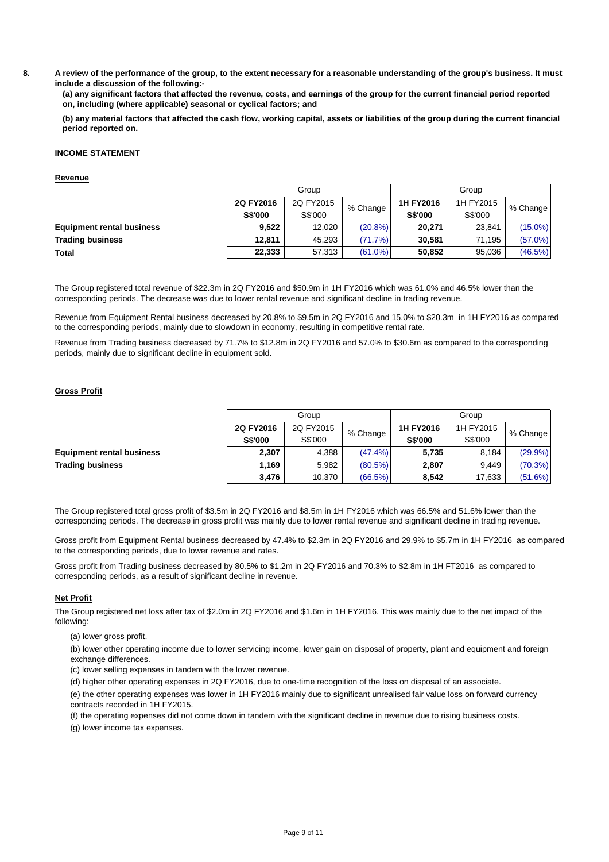**8. A review of the performance of the group, to the extent necessary for a reasonable understanding of the group's business. It must include a discussion of the following:-**

**(a) any significant factors that affected the revenue, costs, and earnings of the group for the current financial period reported on, including (where applicable) seasonal or cyclical factors; and**

**(b) any material factors that affected the cash flow, working capital, assets or liabilities of the group during the current financial period reported on.**

## **INCOME STATEMENT**

## **Revenue**

|                                  | Group          |           |            |                |           |            |
|----------------------------------|----------------|-----------|------------|----------------|-----------|------------|
|                                  | 2Q FY2016      | 2Q FY2015 | % Change   | 1H FY2016      | 1H FY2015 | % Change   |
|                                  | <b>S\$'000</b> | S\$'000   |            | <b>S\$'000</b> | S\$'000   |            |
| <b>Equipment rental business</b> | 9.522          | 12,020    | $(20.8\%)$ | 20,271         | 23,841    | $(15.0\%)$ |
| <b>Trading business</b>          | 12.811         | 45.293    | (71.7%)    | 30.581         | 71.195    | (57.0%)    |
| <b>Total</b>                     | 22,333         | 57.313    | $(61.0\%)$ | 50.852         | 95.036    | (46.5%)    |
|                                  |                |           |            |                |           |            |

The Group registered total revenue of \$22.3m in 2Q FY2016 and \$50.9m in 1H FY2016 which was 61.0% and 46.5% lower than the corresponding periods. The decrease was due to lower rental revenue and significant decline in trading revenue.

Revenue from Equipment Rental business decreased by 20.8% to \$9.5m in 2Q FY2016 and 15.0% to \$20.3m in 1H FY2016 as compared to the corresponding periods, mainly due to slowdown in economy, resulting in competitive rental rate.

Revenue from Trading business decreased by 71.7% to \$12.8m in 2Q FY2016 and 57.0% to \$30.6m as compared to the corresponding periods, mainly due to significant decline in equipment sold.

# **Gross Profit**

|                                  |                | Group     |            |                        | Group    |            |
|----------------------------------|----------------|-----------|------------|------------------------|----------|------------|
|                                  | 2Q FY2016      | 2Q FY2015 |            | 1H FY2016<br>1H FY2015 | % Change |            |
|                                  | <b>S\$'000</b> | S\$'000   | % Change   | <b>S\$'000</b>         | S\$'000  |            |
| <b>Equipment rental business</b> | 2,307          | 4,388     | $(47.4\%)$ | 5,735                  | 8.184    | $(29.9\%)$ |
| <b>Trading business</b>          | 1.169          | 5.982     | $(80.5\%)$ | 2,807                  | 9.449    | $(70.3\%)$ |
|                                  | 3,476          | 10,370    | $(66.5\%)$ | 8,542                  | 17,633   | (51.6%)    |

The Group registered total gross profit of \$3.5m in 2Q FY2016 and \$8.5m in 1H FY2016 which was 66.5% and 51.6% lower than the corresponding periods. The decrease in gross profit was mainly due to lower rental revenue and significant decline in trading revenue.

Gross profit from Equipment Rental business decreased by 47.4% to \$2.3m in 2Q FY2016 and 29.9% to \$5.7m in 1H FY2016 as compared to the corresponding periods, due to lower revenue and rates.

Gross profit from Trading business decreased by 80.5% to \$1.2m in 2Q FY2016 and 70.3% to \$2.8m in 1H FT2016 as compared to corresponding periods, as a result of significant decline in revenue.

## **Net Profit**

The Group registered net loss after tax of \$2.0m in 2Q FY2016 and \$1.6m in 1H FY2016. This was mainly due to the net impact of the following:

(a) lower gross profit.

(b) lower other operating income due to lower servicing income, lower gain on disposal of property, plant and equipment and foreign exchange differences.

(c) lower selling expenses in tandem with the lower revenue.

(d) higher other operating expenses in 2Q FY2016, due to one-time recognition of the loss on disposal of an associate.

(e) the other operating expenses was lower in 1H FY2016 mainly due to significant unrealised fair value loss on forward currency contracts recorded in 1H FY2015.

(f) the operating expenses did not come down in tandem with the significant decline in revenue due to rising business costs.

(g) lower income tax expenses.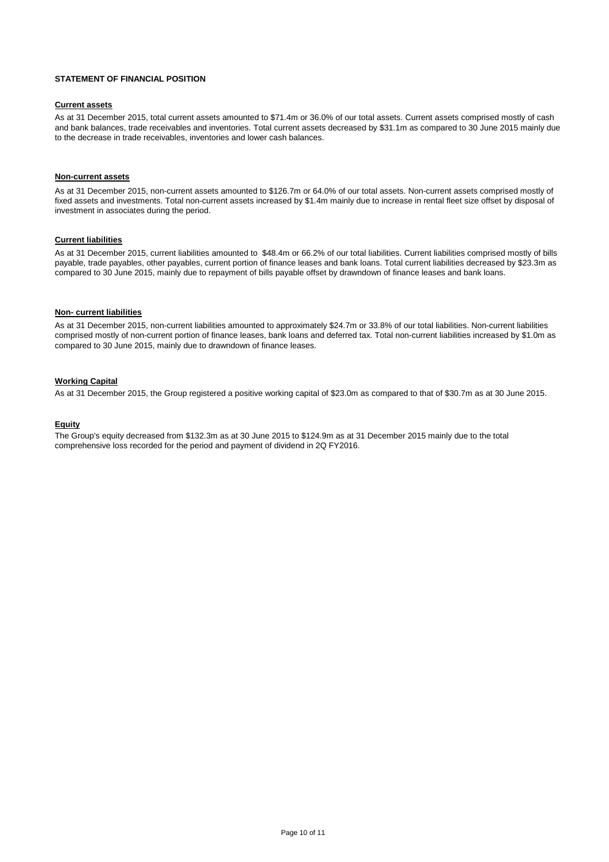#### **STATEMENT OF FINANCIAL POSITION**

# **Current assets**

As at 31 December 2015, total current assets amounted to \$71.4m or 36.0% of our total assets. Current assets comprised mostly of cash and bank balances, trade receivables and inventories. Total current assets decreased by \$31.1m as compared to 30 June 2015 mainly due to the decrease in trade receivables, inventories and lower cash balances.

## **Non-current assets**

As at 31 December 2015, non-current assets amounted to \$126.7m or 64.0% of our total assets. Non-current assets comprised mostly of fixed assets and investments. Total non-current assets increased by \$1.4m mainly due to increase in rental fleet size offset by disposal of investment in associates during the period.

# **Current liabilities**

As at 31 December 2015, current liabilities amounted to \$48.4m or 66.2% of our total liabilities. Current liabilities comprised mostly of bills payable, trade payables, other payables, current portion of finance leases and bank loans. Total current liabilities decreased by \$23.3m as compared to 30 June 2015, mainly due to repayment of bills payable offset by drawndown of finance leases and bank loans.

#### **Non- current liabilities**

As at 31 December 2015, non-current liabilities amounted to approximately \$24.7m or 33.8% of our total liabilities. Non-current liabilities comprised mostly of non-current portion of finance leases, bank loans and deferred tax. Total non-current liabilities increased by \$1.0m as compared to 30 June 2015, mainly due to drawndown of finance leases.

## **Working Capital**

As at 31 December 2015, the Group registered a positive working capital of \$23.0m as compared to that of \$30.7m as at 30 June 2015.

## **Equity**

The Group's equity decreased from \$132.3m as at 30 June 2015 to \$124.9m as at 31 December 2015 mainly due to the total comprehensive loss recorded for the period and payment of dividend in 2Q FY2016.